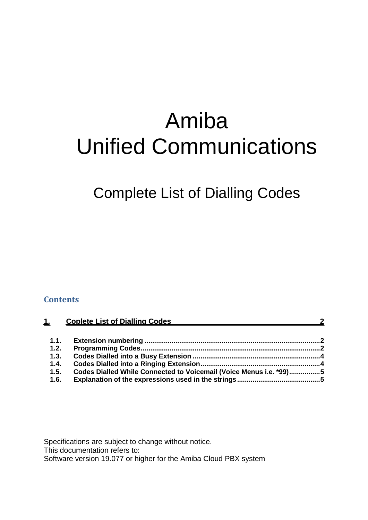# Amiba Unified Communications

Complete List of Dialling Codes

#### **Contents**

| $\mathbf{1}$ | <b>Coplete List of Dialling Codes</b><br>$\sim$ 2                  |  |  |
|--------------|--------------------------------------------------------------------|--|--|
| 1.1.         |                                                                    |  |  |
| 1.2.         |                                                                    |  |  |
| 1.3.         |                                                                    |  |  |
| 1.4.         |                                                                    |  |  |
| 1.5.         | Codes Dialled While Connected to Voicemail (Voice Menus i.e. *99)5 |  |  |
| 1.6.         |                                                                    |  |  |

Specifications are subject to change without notice.

This documentation refers to:

Software version 19.077 or higher for the Amiba Cloud PBX system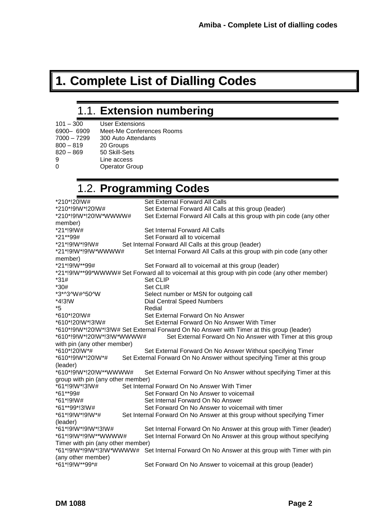# <span id="page-1-0"></span>**1. Complete List of Dialling Codes**

## 1.1. **Extension numbering**

<span id="page-1-1"></span>

| $101 - 300$   | <b>User Extensions</b>    |
|---------------|---------------------------|
| 6900-6909     | Meet-Me Conferences Rooms |
| $7000 - 7299$ | 300 Auto Attendants       |
| $800 - 819$   | 20 Groups                 |
| $820 - 869$   | 50 Skill-Sets             |
| 9             | Line access               |
|               | <b>Operator Group</b>     |
|               |                           |

### 1.2. **Programming Codes**

<span id="page-1-2"></span>

| *210*!20!W#                       | Set External Forward All Calls                                                                 |
|-----------------------------------|------------------------------------------------------------------------------------------------|
| *210*!9!W*!20!W#                  | Set External Forward All Calls at this group (leader)                                          |
| *210*!9!W*!20!W*WWWW#             | Set External Forward All Calls at this group with pin code (any other                          |
| member)                           |                                                                                                |
| *21*!9!W#                         | Set Internal Forward All Calls                                                                 |
| *21**99#                          | Set Forward all to voicemail                                                                   |
| *21*!9!W*!9!W#                    | Set Internal Forward All Calls at this group (leader)                                          |
| *21*!9!W*!9!W*WWWW#               | Set Internal Forward All Calls at this group with pin code (any other                          |
| member)                           |                                                                                                |
| *21*!9!W**99#                     | Set Forward all to voicemail at this group (leader)                                            |
|                                   | *21*!9!W**99*WWWW# Set Forward all to voicemail at this group with pin code (any other member) |
| $*31#$                            | Set CLIP                                                                                       |
| $*30#$                            | <b>Set CLIR</b>                                                                                |
| *3*^3^W#^50^W                     | Select number or MSN for outgoing call                                                         |
| *4!3!W                            | <b>Dial Central Speed Numbers</b>                                                              |
| *5                                | Redial                                                                                         |
| *610*!20!W#                       | Set External Forward On No Answer                                                              |
| *610*!20!W*!3!W#                  | Set External Forward On No Answer With Timer                                                   |
|                                   | *610*!9!W*!20!W*!3!W# Set External Forward On No Answer with Timer at this group (leader)      |
| *610*!9!W*!20!W*!3!W*WWWW#        | Set External Forward On No Answer with Timer at this group                                     |
| with pin (any other member)       |                                                                                                |
| *610*!20!W*#                      | Set External Forward On No Answer Without specifying Timer                                     |
| *610*!9!W*!20!W*#                 | Set External Forward On No Answer without specifying Timer at this group                       |
| (leader)                          |                                                                                                |
| *610*!9!W*!20!W**WWWW#            | Set External Forward On No Answer without specifying Timer at this                             |
| group with pin (any other member) |                                                                                                |
| *61*!9!W*!3!W#                    | Set Internal Forward On No Answer With Timer                                                   |
| *61**99#                          | Set Forward On No Answer to voicemail                                                          |
| $*61*!9!W#$                       | Set Internal Forward On No Answer                                                              |
| *61**99*!3!W#                     | Set Forward On No Answer to voicemail with timer                                               |
| *61*!9!W*!9!W*#                   | Set Internal Forward On No Answer at this group without specifying Timer                       |
| (leader)                          |                                                                                                |
| *61*!9!W*!9!W*!3!W#               | Set Internal Forward On No Answer at this group with Timer (leader)                            |
| *61*!9!W*!9!W**WWWW#              | Set Internal Forward On No Answer at this group without specifying                             |
| Timer with pin (any other member) |                                                                                                |
|                                   | *61*!9!W*!9!W*!3!W*WWWW# Set Internal Forward On No Answer at this group with Timer with pin   |
| (any other member)                |                                                                                                |
| *61*!9!W**99*#                    | Set Forward On No Answer to voicemail at this group (leader)                                   |
|                                   |                                                                                                |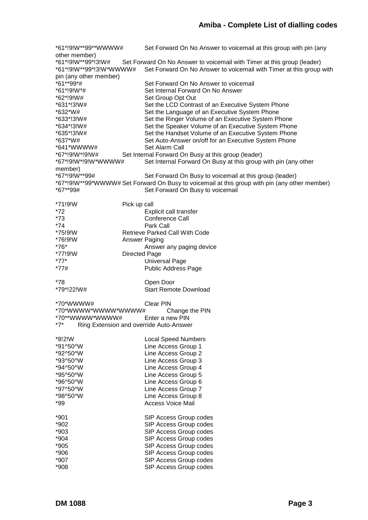```
*61*!9!W**99**WWWW# Set Forward On No Answer to voicemail at this group with pin (any 
other member)
*61*!9!W**99*!3!W# Set Forward On No Answer to voicemail with Timer at this group (leader)<br>*61*!9!W**99*!3!W*WWWW# Set Forward On No Answer to voicemail with Timer at this group
                      Set Forward On No Answer to voicemail with Timer at this group with
pin (any other member)
*61**99*# Set Forward On No Answer to voicemail
*61*!9!W*# Set Internal Forward On No Answer
*62*!9!W# Set Group Opt Out
*631*!3!W# Set the LCD Contrast of an Executive System Phone
                      Set the Language of an Executive System Phone
*633*!3!W# Set the Ringer Volume of an Executive System Phone
*634*!3!W# Set the Speaker Volume of an Executive System Phone
*635*!3!W# Set the Handset Volume of an Executive System Phone
*637*W# Set Auto-Answer on/off for an Executive System Phone
*641*WWWW# Set Alarm Call
*67*!9!W*!9!W# Set Internal Forward On Busy at this group (leader)
*67*!9!W*!9!W*WWWW# Set Internal Forward On Busy at this group with pin (any other 
member)
*67*!9!W**99# Set Forward On Busy to voicemail at this group (leader)
*67*!9!W**99*WWWW# Set Forward On Busy to voicemail at this group with pin (any other member)<br>*67**99# Set Forward On Busy to voicemail
                      Set Forward On Busy to voicemail
*71!9!W Pick up call
                      Explicit call transfer
*73 Conference Call
*74 Park Call
                Retrieve Parked Call With Code
*76!9!W Answer Paging
*76* Answer any paging device
*77!9!W Directed Page
*77* Universal Page
*77# Public Address Page
*78 Open Door
*79*!22!W# Start Remote Download
*70*WWWW# Clear PIN
*70*WWWW*WWWW*WWWW# Change the PIN
*70**WWWW*WWWW# Enter a new PIN
*7* Ring Extension and override Auto-Answer
*8!2!W Local Speed Numbers
*91^50^W Line Access Group 1
*92^50^W Line Access Group 2
*93^50^W Line Access Group 3
*94^50^W Line Access Group 4
*95^50^W Line Access Group 5
*96^50^W Line Access Group 6
*97^50^W Line Access Group 7
                      Line Access Group 8
*99 Access Voice Mail
*901 SIP Access Group codes
*902 SIP Access Group codes
*903 SIP Access Group codes
*904 SIP Access Group codes
*905 SIP Access Group codes
*906 SIP Access Group codes
*907 SIP Access Group codes
*908 SIP Access Group codes
```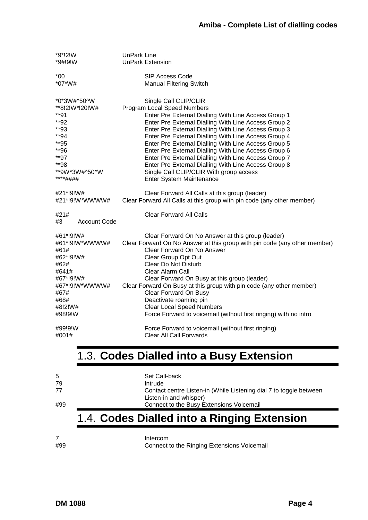| *9*!2!W                           | <b>UnPark Line</b>                                                        |  |  |  |
|-----------------------------------|---------------------------------------------------------------------------|--|--|--|
| *9#!9!W                           | <b>UnPark Extension</b>                                                   |  |  |  |
| $*00$                             | SIP Access Code                                                           |  |  |  |
| $*07*W#$                          | <b>Manual Filtering Switch</b>                                            |  |  |  |
| *0*3W#^50^W                       | Single Call CLIP/CLIR                                                     |  |  |  |
| **8!2!W*!20!W#                    | Program Local Speed Numbers                                               |  |  |  |
| $*$ *91                           | Enter Pre External Dialling With Line Access Group 1                      |  |  |  |
| **92                              | Enter Pre External Dialling With Line Access Group 2                      |  |  |  |
| **93                              | Enter Pre External Dialling With Line Access Group 3                      |  |  |  |
| **94                              | Enter Pre External Dialling With Line Access Group 4                      |  |  |  |
| **95                              | Enter Pre External Dialling With Line Access Group 5                      |  |  |  |
| **96                              | Enter Pre External Dialling With Line Access Group 6                      |  |  |  |
| **97                              | Enter Pre External Dialling With Line Access Group 7                      |  |  |  |
| **98                              | Enter Pre External Dialling With Line Access Group 8                      |  |  |  |
| **9W*3W#^50^W                     | Single Call CLIP/CLIR With group access                                   |  |  |  |
| ****####                          | Enter System Maintenance                                                  |  |  |  |
| #21*!9!W#                         | Clear Forward All Calls at this group (leader)                            |  |  |  |
| #21*!9!W*WWWW#                    | Clear Forward All Calls at this group with pin code (any other member)    |  |  |  |
| #21#<br><b>Account Code</b><br>#3 | <b>Clear Forward All Calls</b>                                            |  |  |  |
| #61*!9!W#                         | Clear Forward On No Answer at this group (leader)                         |  |  |  |
| #61*!9!W*WWWW#                    | Clear Forward On No Answer at this group with pin code (any other member) |  |  |  |
| #61#                              | Clear Forward On No Answer                                                |  |  |  |
| #62*!9!W#                         | Clear Group Opt Out                                                       |  |  |  |
| #62#                              | <b>Clear Do Not Disturb</b>                                               |  |  |  |
| #641#                             | Clear Alarm Call                                                          |  |  |  |
| #67*!9!W#                         | Clear Forward On Busy at this group (leader)                              |  |  |  |
| #67*!9!W*WWWW#                    | Clear Forward On Busy at this group with pin code (any other member)      |  |  |  |
| #67#                              | Clear Forward On Busy                                                     |  |  |  |
| #68#                              | Deactivate roaming pin                                                    |  |  |  |
| #8!2!W#                           | <b>Clear Local Speed Numbers</b>                                          |  |  |  |
| #98!9!W                           | Force Forward to voicemail (without first ringing) with no intro          |  |  |  |
| #99!9!W                           | Force Forward to voicemail (without first ringing)                        |  |  |  |
| #001#                             | Clear All Call Forwards                                                   |  |  |  |

#### <span id="page-3-0"></span>1.3. **Codes Dialled into a Busy Extension**

| -5  | Set Call-back                                                      |
|-----|--------------------------------------------------------------------|
| -79 | Intrude                                                            |
| -77 | Contact centre Listen-in (While Listening dial 7 to toggle between |
|     | Listen-in and whisper)                                             |
| #99 | Connect to the Busy Extensions Voicemail                           |
|     |                                                                    |

### <span id="page-3-1"></span>1.4. **Codes Dialled into a Ringing Extension**

7 Intercom<br>#99 Connect Connect to the Ringing Extensions Voicemail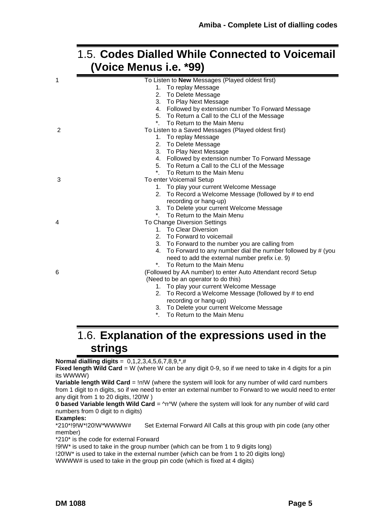#### <span id="page-4-0"></span>1.5. **Codes Dialled While Connected to Voicemail (Voice Menus i.e. \*99)**

| 1 | To Listen to New Messages (Played oldest first)                   |
|---|-------------------------------------------------------------------|
|   | To replay Message<br>1.                                           |
|   | 2. To Delete Message                                              |
|   | 3. To Play Next Message                                           |
|   | 4. Followed by extension number To Forward Message                |
|   | 5. To Return a Call to the CLI of the Message                     |
|   | To Return to the Main Menu                                        |
| 2 | To Listen to a Saved Messages (Played oldest first)               |
|   | 1. To replay Message                                              |
|   | 2. To Delete Message                                              |
|   | 3. To Play Next Message                                           |
|   | 4. Followed by extension number To Forward Message                |
|   | 5. To Return a Call to the CLI of the Message                     |
|   | To Return to the Main Menu                                        |
| 3 | To enter Voicemail Setup                                          |
|   | 1. To play your current Welcome Message                           |
|   | 2. To Record a Welcome Message (followed by # to end              |
|   | recording or hang-up)                                             |
|   | 3. To Delete your current Welcome Message                         |
|   | *. To Return to the Main Menu                                     |
| 4 | To Change Diversion Settings                                      |
|   | 1. To Clear Diversion                                             |
|   | 2. To Forward to voicemail                                        |
|   | 3. To Forward to the number you are calling from                  |
|   | To Forward to any number dial the number followed by # (you<br>4. |
|   | need to add the external number prefix i.e. 9)                    |
|   | *. To Return to the Main Menu                                     |
| 6 | (Followed by AA number) to enter Auto Attendant record Setup      |
|   | (Need to be an operator to do this)                               |
|   | 1. To play your current Welcome Message                           |
|   | 2. To Record a Welcome Message (followed by # to end              |
|   | recording or hang-up)                                             |
|   | 3. To Delete your current Welcome Message                         |
|   | To Return to the Main Menu                                        |

#### <span id="page-4-1"></span>1.6. **Explanation of the expressions used in the strings**

#### **Normal dialling digits** = 0,1,2,3,4,5,6,7,8,9,\*,#

**Fixed length Wild Card** = W (where W can be any digit 0-9, so if we need to take in 4 digits for a pin its WWWW)

**Variable length Wild Card** = !n!W (where the system will look for any number of wild card numbers from 1 digit to n digits, so if we need to enter an external number to Forward to we would need to enter any digit from 1 to 20 digits, !20!W )

**0 based Variable length Wild Card** = ^n^W (where the system will look for any number of wild card numbers from 0 digit to n digits)

**Examples:**<br>\*210\*!9!W\*!20!W\*WWWW# Set External Forward All Calls at this group with pin code (any other member)

\*210\* is the code for external Forward

!9!W\* is used to take in the group number (which can be from 1 to 9 digits long)

!20!W\* is used to take in the external number (which can be from 1 to 20 digits long)

WWWW# is used to take in the group pin code (which is fixed at 4 digits)